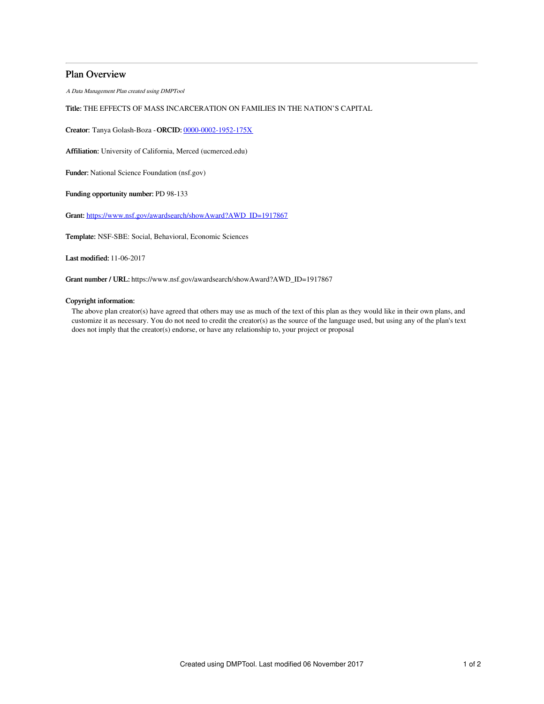## Plan Overview

A Data Management Plan created using DMPTool

## Title: THE EFFECTS OF MASS INCARCERATION ON FAMILIES IN THE NATION'S CAPITAL

Creator: Tanya Golash-Boza -ORCID: [0000-0002-1952-175X](https://orcid.org/0000-0002-1952-175X)

Affiliation: University of California, Merced (ucmerced.edu)

Funder: National Science Foundation (nsf.gov)

Funding opportunity number: PD 98-133

Grant: [https://www.nsf.gov/awardsearch/showAward?AWD\\_ID=1917867](https://www.nsf.gov/awardsearch/showAward?AWD_ID=1917867)

Template: NSF-SBE: Social, Behavioral, Economic Sciences

Last modified: 11-06-2017

Grant number / URL: https://www.nsf.gov/awardsearch/showAward?AWD\_ID=1917867

## Copyright information:

The above plan creator(s) have agreed that others may use as much of the text of this plan as they would like in their own plans, and customize it as necessary. You do not need to credit the creator(s) as the source of the language used, but using any of the plan's text does not imply that the creator(s) endorse, or have any relationship to, your project or proposal